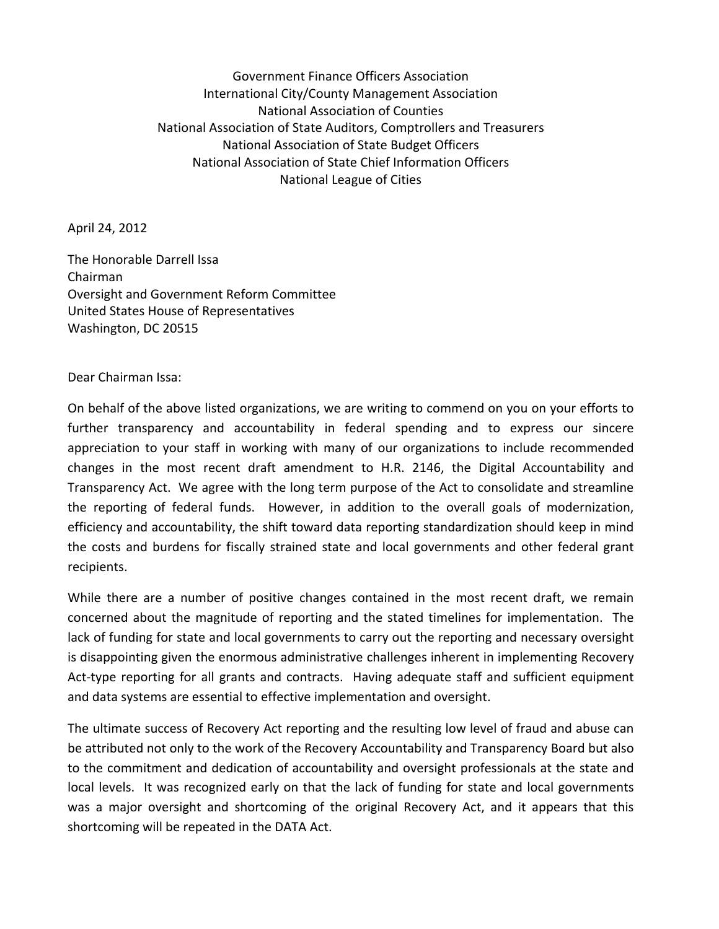Government Finance Officers Association International City/County Management Association National Association of Counties National Association of State Auditors, Comptrollers and Treasurers National Association of State Budget Officers National Association of State Chief Information Officers National League of Cities

April 24, 2012

The Honorable Darrell Issa Chairman Oversight and Government Reform Committee United States House of Representatives Washington, DC 20515

Dear Chairman Issa:

On behalf of the above listed organizations, we are writing to commend on you on your efforts to further transparency and accountability in federal spending and to express our sincere appreciation to your staff in working with many of our organizations to include recommended changes in the most recent draft amendment to H.R. 2146, the Digital Accountability and Transparency Act. We agree with the long term purpose of the Act to consolidate and streamline the reporting of federal funds. However, in addition to the overall goals of modernization, efficiency and accountability, the shift toward data reporting standardization should keep in mind the costs and burdens for fiscally strained state and local governments and other federal grant recipients.

While there are a number of positive changes contained in the most recent draft, we remain concerned about the magnitude of reporting and the stated timelines for implementation. The lack of funding for state and local governments to carry out the reporting and necessary oversight is disappointing given the enormous administrative challenges inherent in implementing Recovery Act-type reporting for all grants and contracts. Having adequate staff and sufficient equipment and data systems are essential to effective implementation and oversight.

The ultimate success of Recovery Act reporting and the resulting low level of fraud and abuse can be attributed not only to the work of the Recovery Accountability and Transparency Board but also to the commitment and dedication of accountability and oversight professionals at the state and local levels. It was recognized early on that the lack of funding for state and local governments was a major oversight and shortcoming of the original Recovery Act, and it appears that this shortcoming will be repeated in the DATA Act.